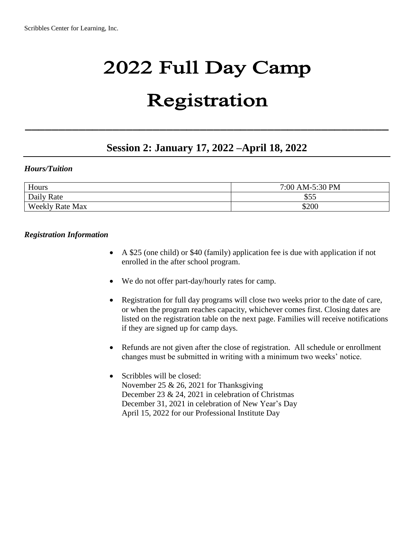# 2022 Full Day Camp

## Registration

## **Session 2: January 17, 2022 –April 18, 2022**

\_\_\_\_\_\_\_\_\_\_\_\_\_\_\_\_\_\_\_\_\_\_\_\_\_\_\_\_\_\_\_\_\_\_\_\_\_\_\_\_\_\_\_\_\_\_\_\_\_\_\_\_\_\_

#### *Hours/Tuition*

| Hours                  | 7:00 AM-5:30 PM |  |
|------------------------|-----------------|--|
| Daily Rate             | \$55            |  |
| <b>Weekly Rate Max</b> | \$200           |  |

#### *Registration Information*

- A \$25 (one child) or \$40 (family) application fee is due with application if not enrolled in the after school program.
- We do not offer part-day/hourly rates for camp.
- Registration for full day programs will close two weeks prior to the date of care, or when the program reaches capacity, whichever comes first. Closing dates are listed on the registration table on the next page. Families will receive notifications if they are signed up for camp days.
- Refunds are not given after the close of registration. All schedule or enrollment changes must be submitted in writing with a minimum two weeks' notice.
- Scribbles will be closed: November 25 & 26, 2021 for Thanksgiving December 23 & 24, 2021 in celebration of Christmas December 31, 2021 in celebration of New Year's Day April 15, 2022 for our Professional Institute Day